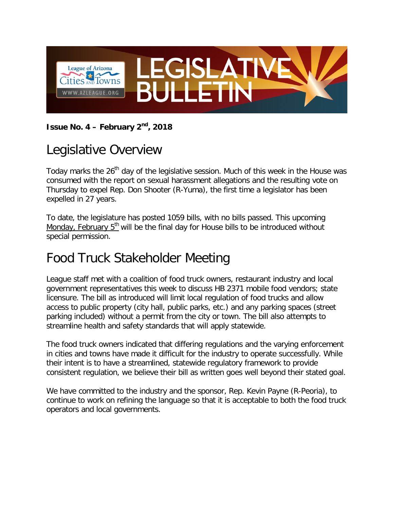

**Issue No. 4 – February 2nd, 2018**

## Legislative Overview

Today marks the 26<sup>th</sup> day of the legislative session. Much of this week in the House was consumed with the report on sexual harassment allegations and the resulting vote on Thursday to expel Rep. Don Shooter (R-Yuma), the first time a legislator has been expelled in 27 years.

To date, the legislature has posted 1059 bills, with no bills passed. This upcoming Monday, February 5<sup>th</sup> will be the final day for House bills to be introduced without special permission.

# Food Truck Stakeholder Meeting

League staff met with a coalition of food truck owners, restaurant industry and local government representatives this week to discuss HB 2371 mobile food vendors; state licensure. The bill as introduced will limit local regulation of food trucks and allow access to public property (city hall, public parks, etc.) and any parking spaces (street parking included) without a permit from the city or town. The bill also attempts to streamline health and safety standards that will apply statewide.

The food truck owners indicated that differing regulations and the varying enforcement in cities and towns have made it difficult for the industry to operate successfully. While their intent is to have a streamlined, statewide regulatory framework to provide consistent regulation, we believe their bill as written goes well beyond their stated goal.

We have committed to the industry and the sponsor, Rep. Kevin Payne (R-Peoria), to continue to work on refining the language so that it is acceptable to both the food truck operators and local governments.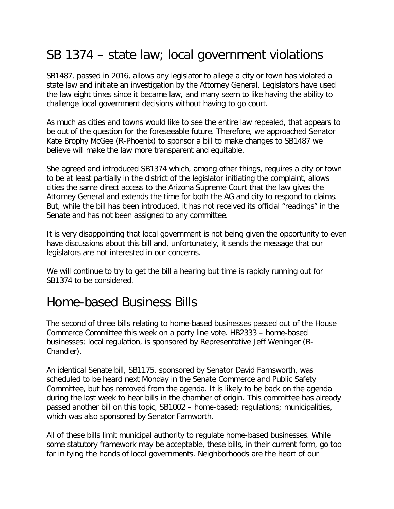## SB 1374 – state law; local government violations

SB1487, passed in 2016, allows any legislator to allege a city or town has violated a state law and initiate an investigation by the Attorney General. Legislators have used the law eight times since it became law, and many seem to like having the ability to challenge local government decisions without having to go court.

As much as cities and towns would like to see the entire law repealed, that appears to be out of the question for the foreseeable future. Therefore, we approached Senator Kate Brophy McGee (R-Phoenix) to sponsor a bill to make changes to SB1487 we believe will make the law more transparent and equitable.

She agreed and introduced SB1374 which, among other things, requires a city or town to be at least partially in the district of the legislator initiating the complaint, allows cities the same direct access to the Arizona Supreme Court that the law gives the Attorney General and extends the time for both the AG and city to respond to claims. But, while the bill has been introduced, it has not received its official "readings" in the Senate and has not been assigned to any committee.

It is very disappointing that local government is not being given the opportunity to even have discussions about this bill and, unfortunately, it sends the message that our legislators are not interested in our concerns.

We will continue to try to get the bill a hearing but time is rapidly running out for SB1374 to be considered.

#### Home-based Business Bills

The second of three bills relating to home-based businesses passed out of the House Commerce Committee this week on a party line vote. HB2333 – home-based businesses; local regulation, is sponsored by Representative Jeff Weninger (R-Chandler).

An identical Senate bill, SB1175, sponsored by Senator David Farnsworth, was scheduled to be heard next Monday in the Senate Commerce and Public Safety Committee, but has removed from the agenda. It is likely to be back on the agenda during the last week to hear bills in the chamber of origin. This committee has already passed another bill on this topic, SB1002 – home-based; regulations; municipalities, which was also sponsored by Senator Farnworth.

All of these bills limit municipal authority to regulate home-based businesses. While some statutory framework may be acceptable, these bills, in their current form, go too far in tying the hands of local governments. Neighborhoods are the heart of our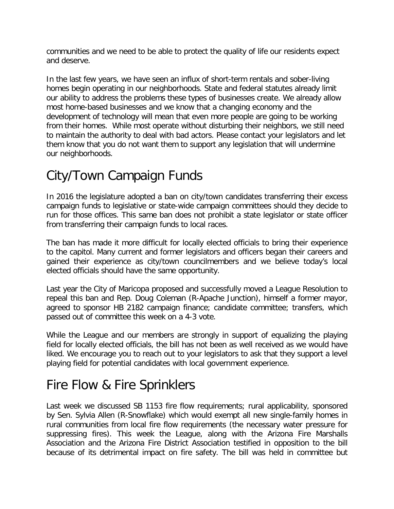communities and we need to be able to protect the quality of life our residents expect and deserve.

In the last few years, we have seen an influx of short-term rentals and sober-living homes begin operating in our neighborhoods. State and federal statutes already limit our ability to address the problems these types of businesses create. We already allow most home-based businesses and we know that a changing economy and the development of technology will mean that even more people are going to be working from their homes. While most operate without disturbing their neighbors, we still need to maintain the authority to deal with bad actors. Please contact your legislators and let them know that you do not want them to support any legislation that will undermine our neighborhoods.

# City/Town Campaign Funds

In 2016 the legislature adopted a ban on city/town candidates transferring their excess campaign funds to legislative or state-wide campaign committees should they decide to run for those offices. This same ban does not prohibit a state legislator or state officer from transferring their campaign funds to local races.

The ban has made it more difficult for locally elected officials to bring their experience to the capitol. Many current and former legislators and officers began their careers and gained their experience as city/town councilmembers and we believe today's local elected officials should have the same opportunity.

Last year the City of Maricopa proposed and successfully moved a League Resolution to repeal this ban and Rep. Doug Coleman (R-Apache Junction), himself a former mayor, agreed to sponsor HB 2182 campaign finance; candidate committee; transfers, which passed out of committee this week on a 4-3 vote.

While the League and our members are strongly in support of equalizing the playing field for locally elected officials, the bill has not been as well received as we would have liked. We encourage you to reach out to your legislators to ask that they support a level playing field for potential candidates with local government experience.

### Fire Flow & Fire Sprinklers

Last week we discussed SB 1153 fire flow requirements; rural applicability, sponsored by Sen. Sylvia Allen (R-Snowflake) which would exempt all new single-family homes in rural communities from local fire flow requirements (the necessary water pressure for suppressing fires). This week the League, along with the Arizona Fire Marshalls Association and the Arizona Fire District Association testified in opposition to the bill because of its detrimental impact on fire safety. The bill was held in committee but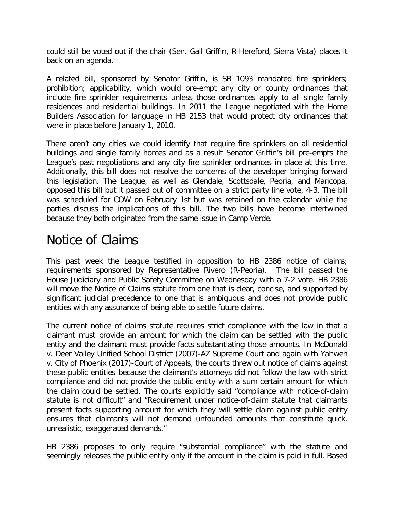could still be voted out if the chair (Sen. Gail Griffin, R-Hereford, Sierra Vista) places it back on an agenda.

A related bill, sponsored by Senator Griffin, is SB 1093 mandated fire sprinklers; prohibition; applicability, which would pre-empt any city or county ordinances that include fire sprinkler requirements unless those ordinances apply to all single family residences and residential buildings. In 2011 the League negotiated with the Home Builders Association for language in HB 2153 that would protect city ordinances that were in place before January 1, 2010.

There aren't any cities we could identify that require fire sprinklers on all residential buildings and single family homes and as a result Senator Griffin's bill pre-empts the League's past negotiations and any city fire sprinkler ordinances in place at this time. Additionally, this bill does not resolve the concerns of the developer bringing forward this legislation. The League, as well as Glendale, Scottsdale, Peoria, and Maricopa, opposed this bill but it passed out of committee on a strict party line vote, 4-3. The bill was scheduled for COW on February 1st but was retained on the calendar while the parties discuss the implications of this bill. The two bills have become intertwined because they both originated from the same issue in Camp Verde.

#### Notice of Claims

This past week the League testified in opposition to HB 2386 notice of claims; requirements sponsored by Representative Rivero (R-Peoria). The bill passed the House Judiciary and Public Safety Committee on Wednesday with a 7-2 vote. HB 2386 will move the Notice of Claims statute from one that is clear, concise, and supported by significant judicial precedence to one that is ambiguous and does not provide public entities with any assurance of being able to settle future claims.

The current notice of claims statute requires strict compliance with the law in that a claimant must provide an amount for which the claim can be settled with the public entity and the claimant must provide facts substantiating those amounts. In McDonald v. Deer Valley Unified School District (2007)-AZ Supreme Court and again with Yahweh v. City of Phoenix (2017)-Court of Appeals, the courts threw out notice of claims against these public entities because the claimant's attorneys did not follow the law with strict compliance and did not provide the public entity with a sum certain amount for which the claim could be settled. The courts explicitly said "compliance with notice-of-claim statute is not difficult" and "Requirement under notice-of-claim statute that claimants present facts supporting amount for which they will settle claim against public entity ensures that claimants will not demand unfounded amounts that constitute quick, unrealistic, exaggerated demands."

HB 2386 proposes to only require "substantial compliance" with the statute and seemingly releases the public entity only if the amount in the claim is paid in full. Based